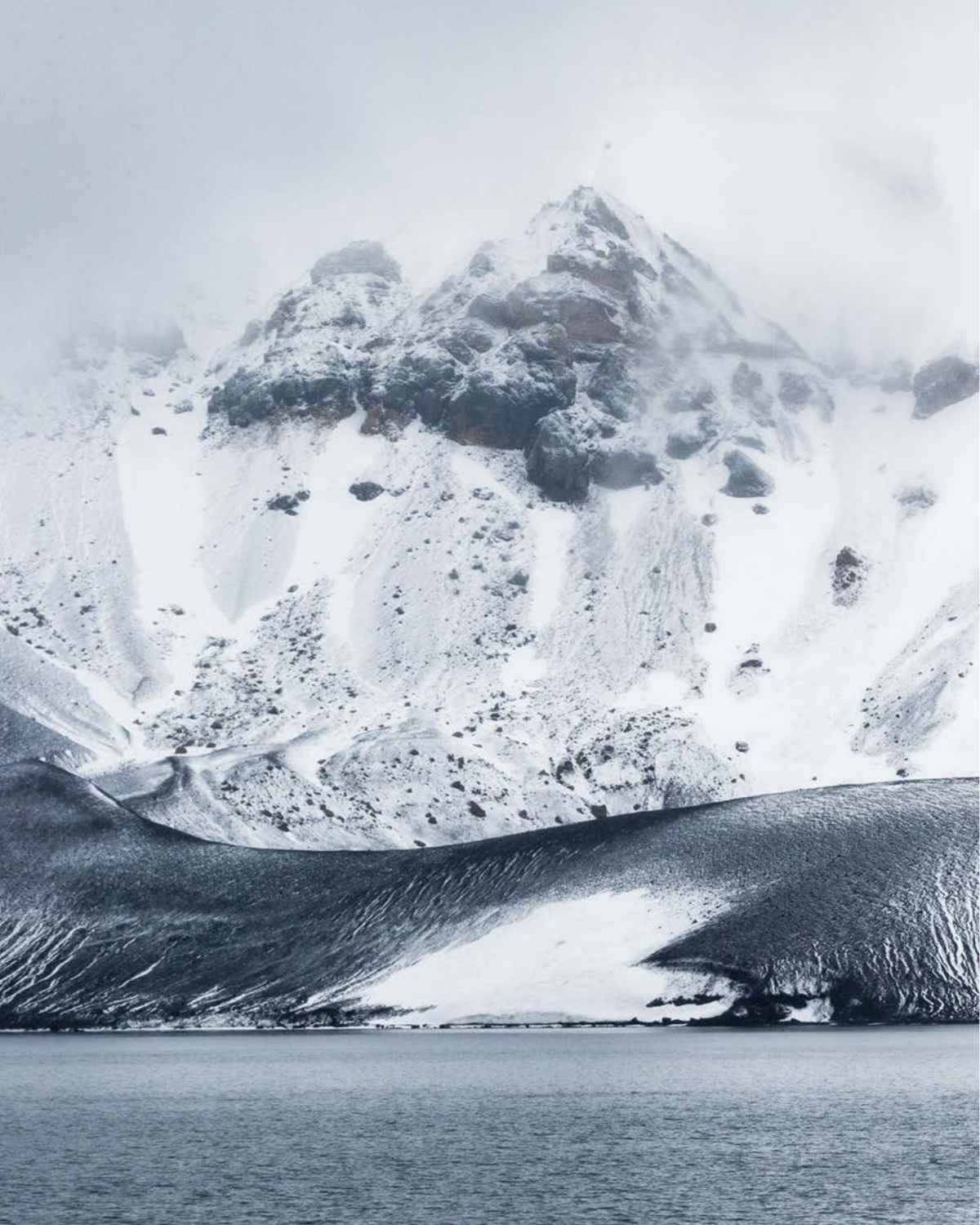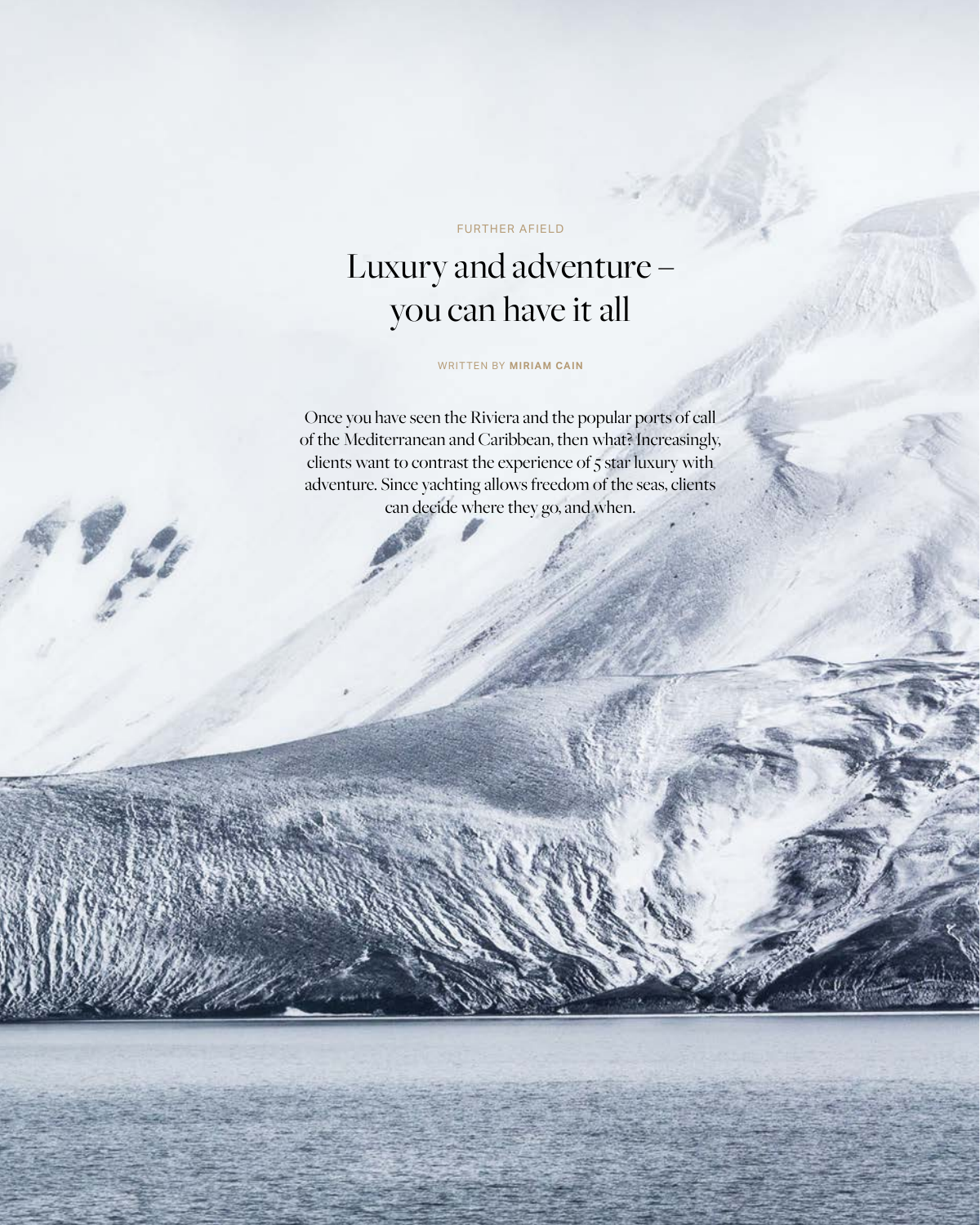### FURTHER AFIELD

# Luxury and adventure – you can have it all

#### WRITTEN BY **MIRIAM CAIN**

Once you have seen the Riviera and the popular ports of call of the Mediterranean and Caribbean, then what? Increasingly, clients want to contrast the experience of 5 star luxury with adventure. Since yachting allows freedom of the seas, clients can decide where they go, and when.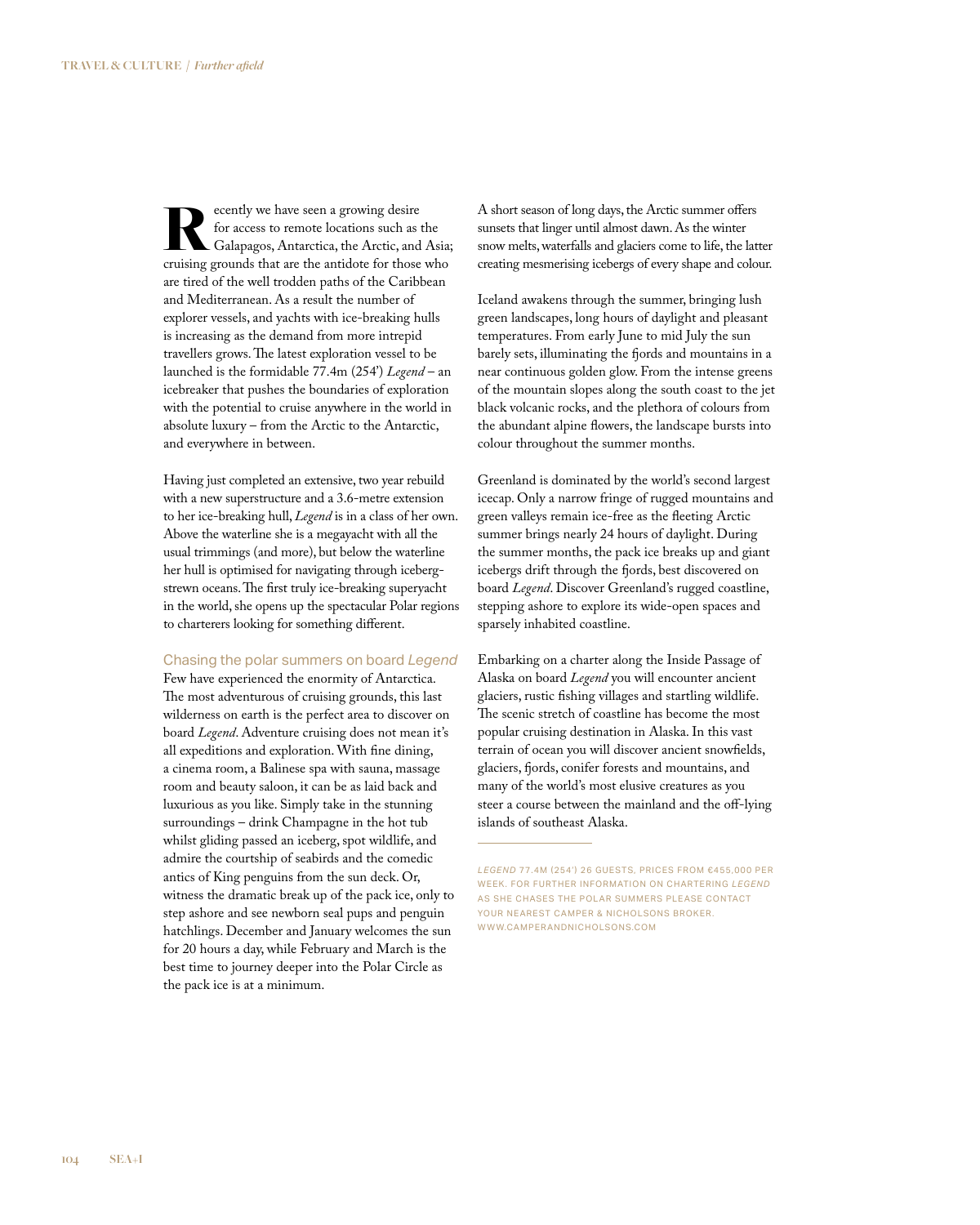Fracently we have seen a growing desire<br>
for access to remote locations such as the<br>
Galapagos, Antarctica, the Arctic, and Asia;<br>
cruising grounds that are the antidote for those who for access to remote locations such as the cruising grounds that are the antidote for those who are tired of the well trodden paths of the Caribbean and Mediterranean. As a result the number of explorer vessels, and yachts with ice-breaking hulls is increasing as the demand from more intrepid travellers grows. The latest exploration vessel to be launched is the formidable 77.4m (254') *Legend* – an icebreaker that pushes the boundaries of exploration with the potential to cruise anywhere in the world in absolute luxury – from the Arctic to the Antarctic, and everywhere in between.

Having just completed an extensive, two year rebuild with a new superstructure and a 3.6-metre extension to her ice-breaking hull, *Legend* is in a class of her own. Above the waterline she is a megayacht with all the usual trimmings (and more), but below the waterline her hull is optimised for navigating through icebergstrewn oceans. The first truly ice-breaking superyacht in the world, she opens up the spectacular Polar regions to charterers looking for something diferent.

#### Chasing the polar summers on board *Legend*

Few have experienced the enormity of Antarctica. The most adventurous of cruising grounds, this last wilderness on earth is the perfect area to discover on board *Legend*. Adventure cruising does not mean it's all expeditions and exploration. With fne dining, a cinema room, a Balinese spa with sauna, massage room and beauty saloon, it can be as laid back and luxurious as you like. Simply take in the stunning surroundings – drink Champagne in the hot tub whilst gliding passed an iceberg, spot wildlife, and admire the courtship of seabirds and the comedic antics of King penguins from the sun deck. Or, witness the dramatic break up of the pack ice, only to step ashore and see newborn seal pups and penguin hatchlings. December and January welcomes the sun for 20 hours a day, while February and March is the best time to journey deeper into the Polar Circle as the pack ice is at a minimum.

A short season of long days, the Arctic summer offers sunsets that linger until almost dawn. As the winter snow melts, waterfalls and glaciers come to life, the latter creating mesmerising icebergs of every shape and colour.

Iceland awakens through the summer, bringing lush green landscapes, long hours of daylight and pleasant temperatures. From early June to mid July the sun barely sets, illuminating the fords and mountains in a near continuous golden glow. From the intense greens of the mountain slopes along the south coast to the jet black volcanic rocks, and the plethora of colours from the abundant alpine fowers, the landscape bursts into colour throughout the summer months.

Greenland is dominated by the world's second largest icecap. Only a narrow fringe of rugged mountains and green valleys remain ice-free as the feeting Arctic summer brings nearly 24 hours of daylight. During the summer months, the pack ice breaks up and giant icebergs drift through the fords, best discovered on board *Legend*. Discover Greenland's rugged coastline, stepping ashore to explore its wide-open spaces and sparsely inhabited coastline.

Embarking on a charter along the Inside Passage of Alaska on board *Legend* you will encounter ancient glaciers, rustic fshing villages and startling wildlife. The scenic stretch of coastline has become the most popular cruising destination in Alaska. In this vast terrain of ocean you will discover ancient snowfelds, glaciers, fords, conifer forests and mountains, and many of the world's most elusive creatures as you steer a course between the mainland and the off-lying islands of southeast Alaska.

*LEGEND* 77.4M (254') 26 GUESTS, PRICES FROM €455,000 PER WEEK . FOR FURTHER INFORMATION ON CHARTERING *LEGEND* AS SHE CHASES THE POLAR SUMMERS PLEASE CONTACT YOUR NEAREST CAMPER & NICHOLSONS BROKER [WWW.CAMPERANDNICHOLSONS.COM](http://www.camperandnicholsons.com/)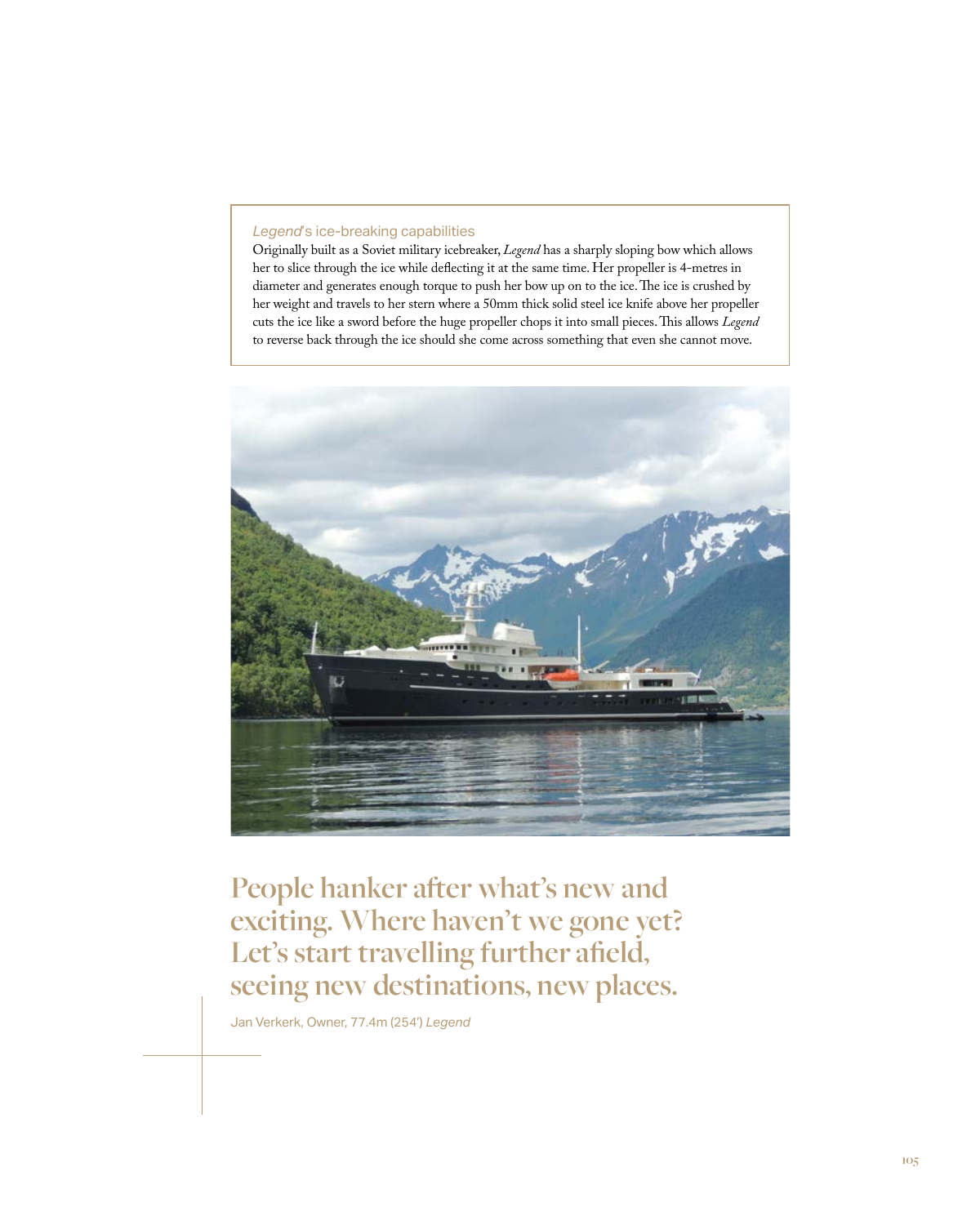## *Legend*'s ice-breaking capabilities

Originally built as a Soviet military icebreaker, *Legend* has a sharply sloping bow which allows her to slice through the ice while defecting it at the same time. Her propeller is 4-metres in diameter and generates enough torque to push her bow up on to the ice. The ice is crushed by her weight and travels to her stern where a 50mm thick solid steel ice knife above her propeller cuts the ice like a sword before the huge propeller chops it into small pieces. This allows *Legend* to reverse back through the ice should she come across something that even she cannot move.



**People hanker after what's new and exciting. Where haven't we gone yet? Let's start travelling further afield, seeing new destinations, new places.**

Jan Verkerk, Owner, 77.4m (254') *Legend*